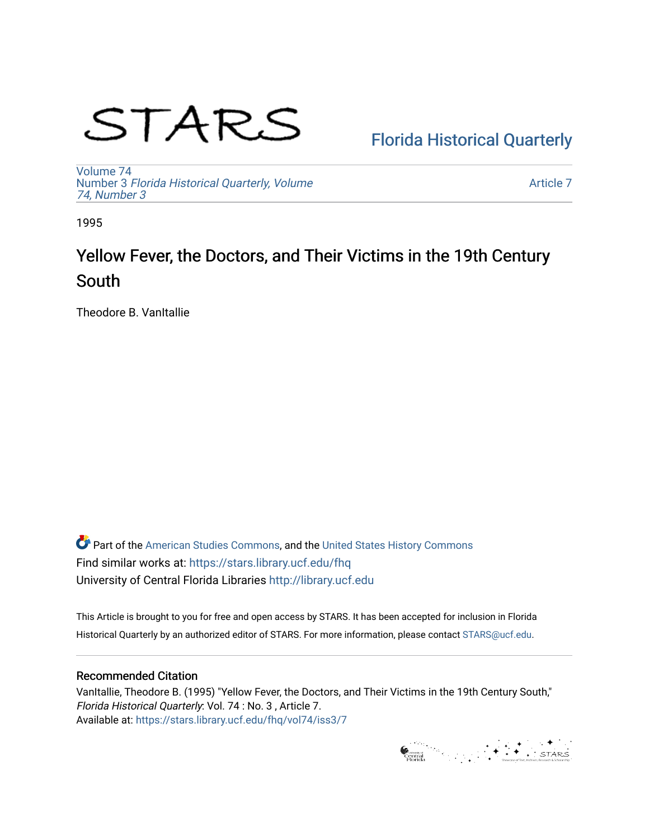# STARS

[Florida Historical Quarterly](https://stars.library.ucf.edu/fhq) 

[Volume 74](https://stars.library.ucf.edu/fhq/vol74) Number 3 [Florida Historical Quarterly, Volume](https://stars.library.ucf.edu/fhq/vol74/iss3)  [74, Number 3](https://stars.library.ucf.edu/fhq/vol74/iss3)

[Article 7](https://stars.library.ucf.edu/fhq/vol74/iss3/7) 

1995

# Yellow Fever, the Doctors, and Their Victims in the 19th Century South

Theodore B. VanItallie

**C** Part of the [American Studies Commons](http://network.bepress.com/hgg/discipline/439?utm_source=stars.library.ucf.edu%2Ffhq%2Fvol74%2Fiss3%2F7&utm_medium=PDF&utm_campaign=PDFCoverPages), and the United States History Commons Find similar works at: <https://stars.library.ucf.edu/fhq> University of Central Florida Libraries [http://library.ucf.edu](http://library.ucf.edu/) 

This Article is brought to you for free and open access by STARS. It has been accepted for inclusion in Florida Historical Quarterly by an authorized editor of STARS. For more information, please contact [STARS@ucf.edu.](mailto:STARS@ucf.edu)

# Recommended Citation

VanItallie, Theodore B. (1995) "Yellow Fever, the Doctors, and Their Victims in the 19th Century South," Florida Historical Quarterly: Vol. 74 : No. 3 , Article 7. Available at: [https://stars.library.ucf.edu/fhq/vol74/iss3/7](https://stars.library.ucf.edu/fhq/vol74/iss3/7?utm_source=stars.library.ucf.edu%2Ffhq%2Fvol74%2Fiss3%2F7&utm_medium=PDF&utm_campaign=PDFCoverPages) 

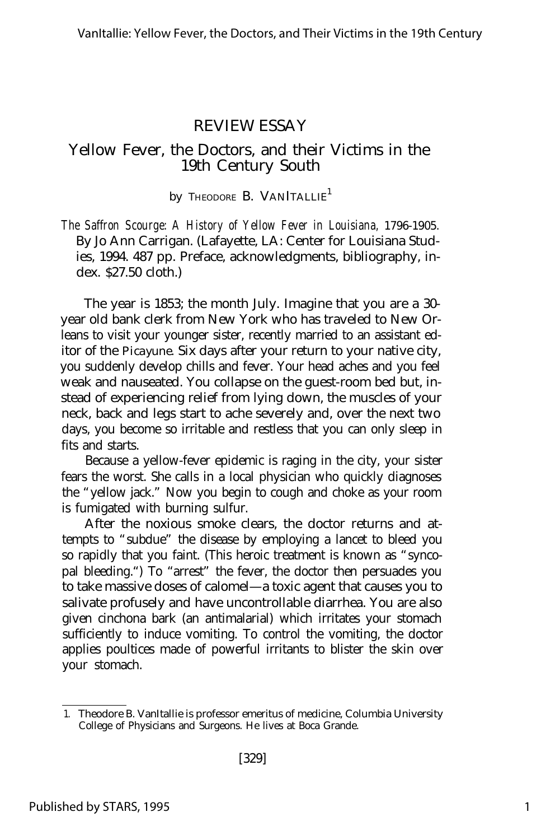## REVIEW ESSAY

# Yellow Fever, the Doctors, and their Victims in the 19th Century South

#### *by* Theodore B. VANITALLIE<sup>1</sup>

*The Saffron Scourge: A History of Yellow Fever in Louisiana, 1796-1905.* By Jo Ann Carrigan. (Lafayette, LA: Center for Louisiana Studies, 1994. 487 pp. Preface, acknowledgments, bibliography, index. \$27.50 cloth.)

The year is 1853; the month July. Imagine that you are a 30 year old bank clerk from New York who has traveled to New Orleans to visit your younger sister, recently married to an assistant editor of the *Picayune.* Six days after your return to your native city, you suddenly develop chills and fever. Your head aches and you feel weak and nauseated. You collapse on the guest-room bed but, instead of experiencing relief from lying down, the muscles of your neck, back and legs start to ache severely and, over the next two days, you become so irritable and restless that you can only sleep in fits and starts.

Because a yellow-fever epidemic is raging in the city, your sister fears the worst. She calls in a local physician who quickly diagnoses the "yellow jack." Now you begin to cough and choke as your room is fumigated with burning sulfur.

After the noxious smoke clears, the doctor returns and attempts to "subdue" the disease by employing a lancet to bleed you so rapidly that you faint. (This heroic treatment is known as "syncopal bleeding.") To "arrest" the fever, the doctor then persuades you to take massive doses of calomel— a toxic agent that causes you to salivate profusely and have uncontrollable diarrhea. You are also given cinchona bark (an antimalarial) which irritates your stomach sufficiently to induce vomiting. To control the vomiting, the doctor applies poultices made of powerful irritants to blister the skin over your stomach.

<sup>1.</sup> Theodore B. VanItallie is professor emeritus of medicine, Columbia University College of Physicians and Surgeons. He lives at Boca Grande.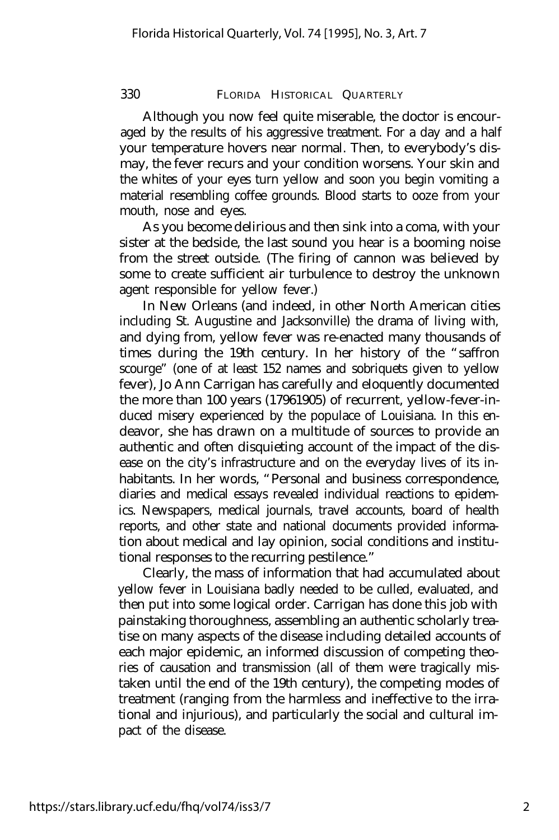### 330 FLORIDA HISTORICAL QUARTERLY

Although you now feel quite miserable, the doctor is encouraged by the results of his aggressive treatment. For a day and a half your temperature hovers near normal. Then, to everybody's dismay, the fever recurs and your condition worsens. Your skin and the whites of your eyes turn yellow and soon you begin vomiting a material resembling coffee grounds. Blood starts to ooze from your mouth, nose and eyes.

As you become delirious and then sink into a coma, with your sister at the bedside, the last sound you hear is a booming noise from the street outside. (The firing of cannon was believed by some to create sufficient air turbulence to destroy the unknown agent responsible for yellow fever.)

In New Orleans (and indeed, in other North American cities including St. Augustine and Jacksonville) the drama of living with, and dying from, yellow fever was re-enacted many thousands of times during the 19th century. In her history of the "saffron scourge" (one of at least 152 names and sobriquets given to yellow fever), Jo Ann Carrigan has carefully and eloquently documented the more than 100 years (17961905) of recurrent, yellow-fever-induced misery experienced by the populace of Louisiana. In this endeavor, she has drawn on a multitude of sources to provide an authentic and often disquieting account of the impact of the disease on the city's infrastructure and on the everyday lives of its inhabitants. In her words, "Personal and business correspondence, diaries and medical essays revealed individual reactions to epidemics. Newspapers, medical journals, travel accounts, board of health reports, and other state and national documents provided information about medical and lay opinion, social conditions and institutional responses to the recurring pestilence."

Clearly, the mass of information that had accumulated about yellow fever in Louisiana badly needed to be culled, evaluated, and then put into some logical order. Carrigan has done this job with painstaking thoroughness, assembling an authentic scholarly treatise on many aspects of the disease including detailed accounts of each major epidemic, an informed discussion of competing theories of causation and transmission (all of them were tragically mistaken until the end of the 19th century), the competing modes of treatment (ranging from the harmless and ineffective to the irrational and injurious), and particularly the social and cultural impact of the disease.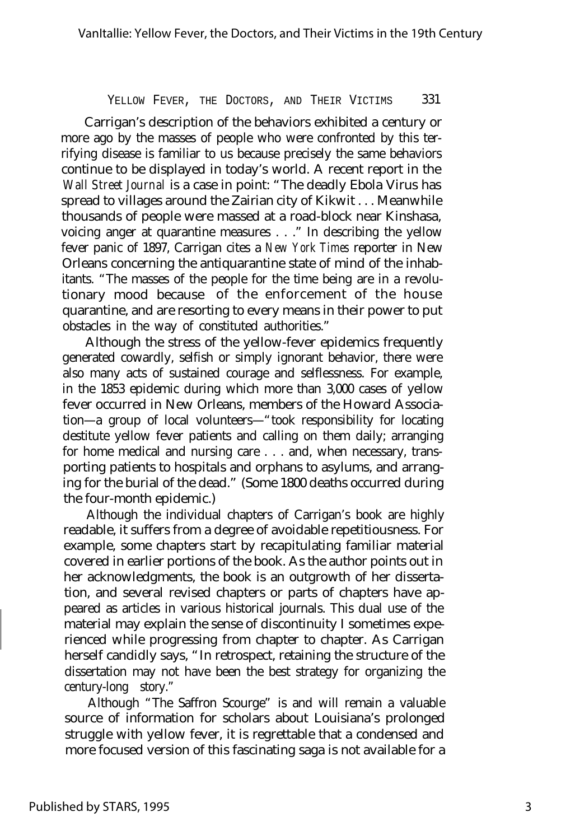#### YELLOW FEVER, THE DOCTORS, AND THEIR VICTIMS 331

Carrigan's description of the behaviors exhibited a century or more ago by the masses of people who were confronted by this terrifying disease is familiar to us because precisely the same behaviors continue to be displayed in today's world. A recent report in the *Wall Street Journal* is a case in point: "The deadly Ebola Virus has spread to villages around the Zairian city of Kikwit . . . Meanwhile thousands of people were massed at a road-block near Kinshasa, voicing anger at quarantine measures . . ." In describing the yellow fever panic of 1897, Carrigan cites a *New York Times* reporter in New Orleans concerning the antiquarantine state of mind of the inhabitants. "The masses of the people for the time being are in a revolutionary mood because of the enforcement of the house quarantine, and are resorting to every means in their power to put obstacles in the way of constituted authorities."

Although the stress of the yellow-fever epidemics frequently generated cowardly, selfish or simply ignorant behavior, there were also many acts of sustained courage and selflessness. For example, in the 1853 epidemic during which more than 3,000 cases of yellow fever occurred in New Orleans, members of the Howard Association— a group of local volunteers— "took responsibility for locating destitute yellow fever patients and calling on them daily; arranging for home medical and nursing care . . . and, when necessary, transporting patients to hospitals and orphans to asylums, and arranging for the burial of the dead." (Some 1800 deaths occurred during the four-month epidemic.)

Although the individual chapters of Carrigan's book are highly readable, it suffers from a degree of avoidable repetitiousness. For example, some chapters start by recapitulating familiar material covered in earlier portions of the book. As the author points out in her acknowledgments, the book is an outgrowth of her dissertation, and several revised chapters or parts of chapters have appeared as articles in various historical journals. This dual use of the material may explain the sense of discontinuity I sometimes experienced while progressing from chapter to chapter. As Carrigan herself candidly says, "In retrospect, retaining the structure of the dissertation may not have been the best strategy for organizing the century-long story."

Although "The Saffron Scourge" is and will remain a valuable source of information for scholars about Louisiana's prolonged struggle with yellow fever, it is regrettable that a condensed and more focused version of this fascinating saga is not available for a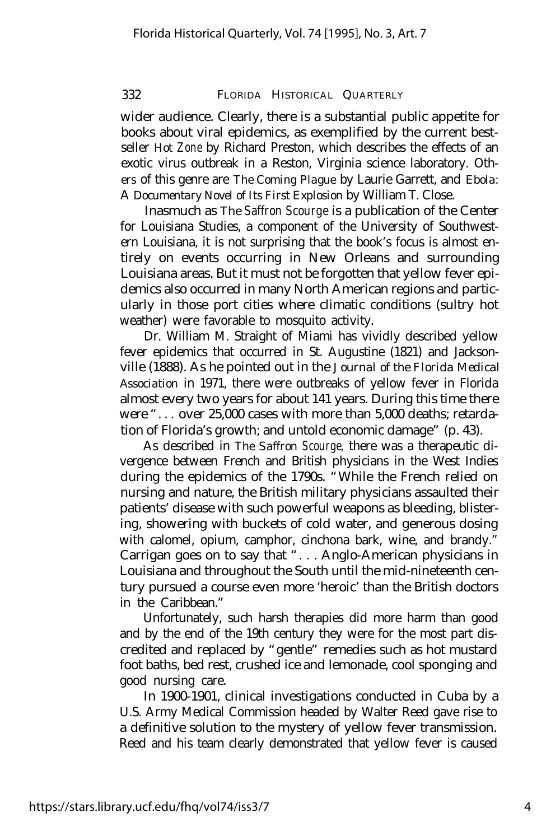#### 332 FLORIDA HISTORICAL QUARTERLY

wider audience. Clearly, there is a substantial public appetite for books about viral epidemics, as exemplified by the current bestseller *Hot Zone* by Richard Preston, which describes the effects of an exotic virus outbreak in a Reston, Virginia science laboratory. Others of this genre are *The Coming Plague* by Laurie Garrett, and *Ebola:* A *Documentary Novel of Its First Explosion* by William T. Close.

Inasmuch as *The Saffron Scourge* is a publication of the Center for Louisiana Studies, a component of the University of Southwestern Louisiana, it is not surprising that the book's focus is almost entirely on events occurring in New Orleans and surrounding Louisiana areas. But it must not be forgotten that yellow fever epidemics also occurred in many North American regions and particularly in those port cities where climatic conditions (sultry hot weather) were favorable to mosquito activity.

Dr. William M. Straight of Miami has vividly described yellow fever epidemics that occurred in St. Augustine (1821) and Jacksonville (1888). As he pointed out in the *Journal of the Florida Medical Association* in 1971, there were outbreaks of yellow fever in Florida almost every two years for about 141 years. During this time there were ". . . over 25,000 cases with more than 5,000 deaths; retardation of Florida's growth; and untold economic damage" (p. 43).

As described in *The Saffron Scourge,* there was a therapeutic divergence between French and British physicians in the West Indies during the epidemics of the 1790s. "While the French relied on nursing and nature, the British military physicians assaulted their patients' disease with such powerful weapons as bleeding, blistering, showering with buckets of cold water, and generous dosing with calomel, opium, camphor, cinchona bark, wine, and brandy." Carrigan goes on to say that ". . . Anglo-American physicians in Louisiana and throughout the South until the mid-nineteenth century pursued a course even more 'heroic' than the British doctors in the Caribbean."

Unfortunately, such harsh therapies did more harm than good and by the end of the 19th century they were for the most part discredited and replaced by "gentle" remedies such as hot mustard foot baths, bed rest, crushed ice and lemonade, cool sponging and good nursing care.

In 1900-1901, clinical investigations conducted in Cuba by a U.S. Army Medical Commission headed by Walter Reed gave rise to a definitive solution to the mystery of yellow fever transmission. Reed and his team clearly demonstrated that yellow fever is caused